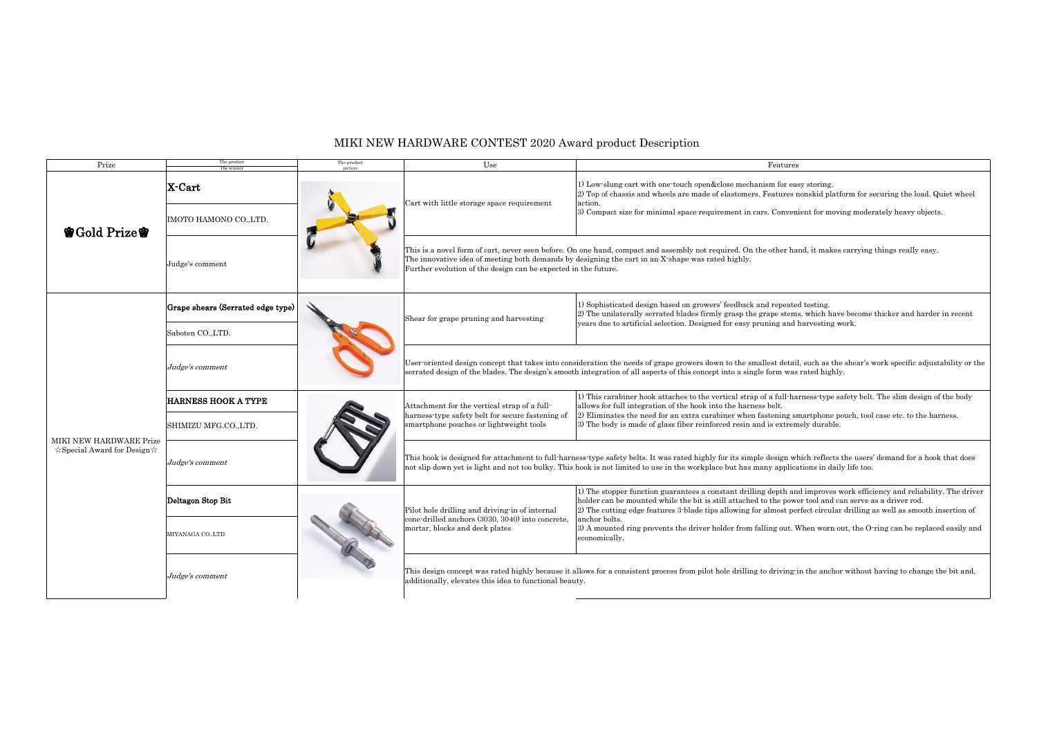## MIKI NEW HARDWARE CONTEST 2020 Award product Description

| Prize                                                         | The product<br>The winner                          | The pruduct<br>picture | Use                                                                                                                                                                                                                                                                                                                              | Features                                                                                                                                                                                                                                                                                                                                                                                  |
|---------------------------------------------------------------|----------------------------------------------------|------------------------|----------------------------------------------------------------------------------------------------------------------------------------------------------------------------------------------------------------------------------------------------------------------------------------------------------------------------------|-------------------------------------------------------------------------------------------------------------------------------------------------------------------------------------------------------------------------------------------------------------------------------------------------------------------------------------------------------------------------------------------|
| 曾Gold Prize曾                                                  | X-Cart                                             |                        | Cart with little storage space requirement                                                                                                                                                                                                                                                                                       | 1) Low-slung cart with one-touch open&close mechanism for easy storing.<br>2) Top of chassis and wheels are made of elastomers. Features nonskid platform for securing the load. Quiet wheel<br>action.<br>3) Compact size for minimal space requirement in cars. Convenient for moving moderately heavy objects.                                                                         |
|                                                               | IMOTO HAMONO CO., LTD.<br>Judge's comment          |                        | This is a novel form of cart, never seen before. On one hand, compact and assembly not required. On the other hand, it makes carrying things really easy.<br>The innovative idea of meeting both demands by designing the cart in an X-shape was rated highly.<br>Further evolution of the design can be expected in the future. |                                                                                                                                                                                                                                                                                                                                                                                           |
| MIKI NEW HARDWARE Prize<br>$\&$ Special Award for Design $\&$ | Grape shears (Serrated edge type)                  |                        | Shear for grape pruning and harvesting                                                                                                                                                                                                                                                                                           | 1) Sophisticated design based on growers' feedback and repeated testing.<br>2) The unilaterally serrated blades firmly grasp the grape stems, which have become thicker and harder in recent<br>years due to artificial selection. Designed for easy pruning and harvesting work.                                                                                                         |
|                                                               | Saboten CO.,LTD.<br>Judge's comment                |                        |                                                                                                                                                                                                                                                                                                                                  | User-oriented design concept that takes into consideration the needs of grape growers down to the smallest detail, such as the shear's work specific adjustability or<br>serrated design of the blades. The design's smooth integration of all aspects of this concept into a single form was rated highly.                                                                               |
|                                                               | <b>HARNESS HOOK A TYPE</b><br>SHIMIZU MFG.CO.,LTD. |                        | Attachment for the vertical strap of a full-<br>harness type safety belt for secure fastening of<br>smartphone pouches or lightweight tools                                                                                                                                                                                      | 1) This carabiner hook attaches to the vertical strap of a full-harness-type safety belt. The slim design of the body<br>allows for full integration of the hook into the harness belt.<br>2) Eliminates the need for an extra carabiner when fastening smartphone pouch, tool case etc. to the harness.<br>3) The body is made of glass fiber reinforced resin and is extremely durable. |
|                                                               | Judge's comment                                    |                        |                                                                                                                                                                                                                                                                                                                                  | This hook is designed for attachment to full-harness-type safety belts. It was rated highly for its simple design which reflects the users' demand for a hook that does<br>not slip down yet is light and not too bulky. This hook is not limited to use in the workplace but has many applications in daily life too.                                                                    |
|                                                               | Deltagon Stop Bit                                  |                        | Pilot hole drilling and driving-in of internal<br>cone-drilled anchors (3030, 3040) into concrete,                                                                                                                                                                                                                               | 1) The stopper function guarantees a constant drilling depth and improves work efficiency and reliability. The driv<br>holder can be mounted while the bit is still attached to the power tool and can serve as a driver rod.<br>2) The cutting edge features 3-blade tips allowing for almost perfect circular drilling as well as smooth insertion of<br>anchor bolts.                  |
|                                                               | MIYANAGA CO., LTD.                                 |                        | mortar, blocks and deck plates                                                                                                                                                                                                                                                                                                   | 3) A mounted ring prevents the driver holder from falling out. When worn out, the O-ring can be replaced easily a<br>economically.<br>This design concept was rated highly because it allows for a consistent process from pilot hole drilling to driving in the anchor without having to change the bit and                                                                              |
|                                                               | Judge's comment                                    |                        | additionally, elevates this idea to functional beauty.                                                                                                                                                                                                                                                                           |                                                                                                                                                                                                                                                                                                                                                                                           |

| r easy storing.<br>res nonskid platform for securing the load. Quiet wheel |
|----------------------------------------------------------------------------|
| wenient for moving moderately heavy objects.                               |

letail, such as the shear's work specific adjustability or the was rated highly.

h and improves work efficiency and reliability. The driver power tool and can serve as a driver rod. It perfect circular drilling as well as smooth insertion of